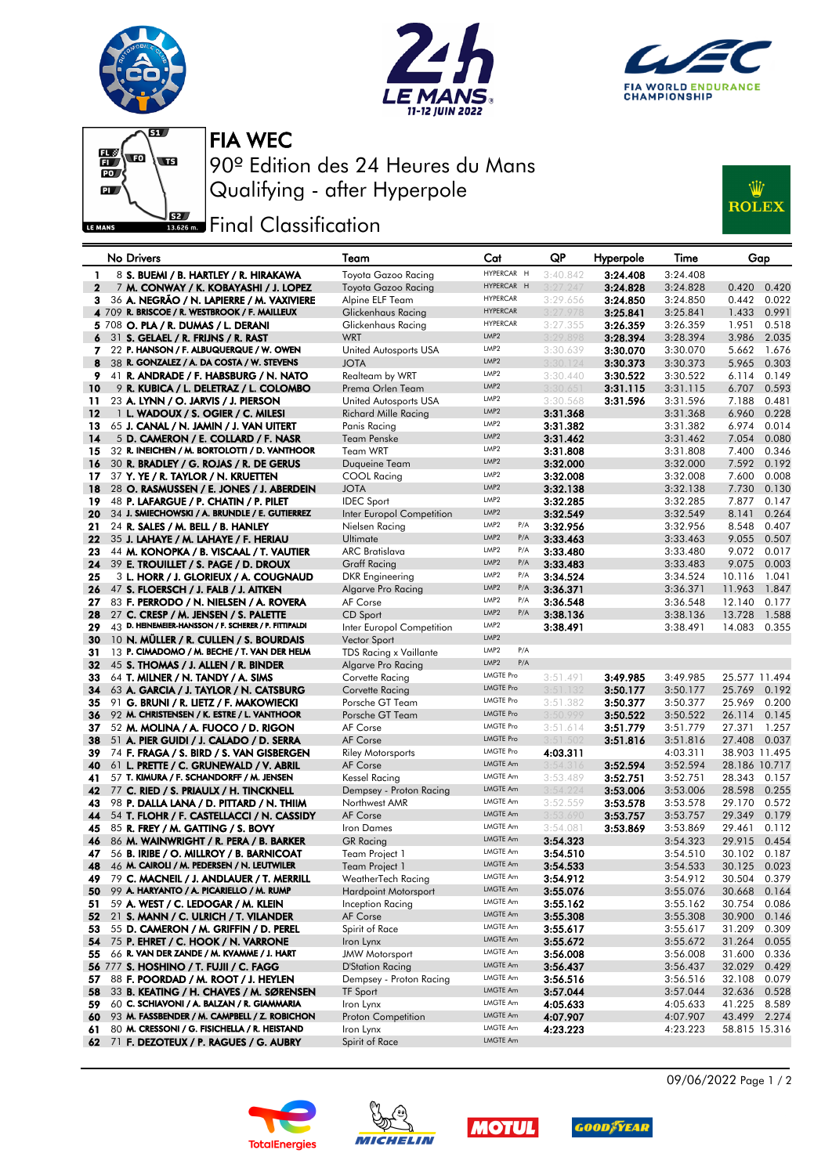

 $\frac{1}{\log 2}$ 

 $\overline{\mathbf{P}}$ 

LE MANS

SV





FIA WEC

90º Edition des 24 Heures du Mans Qualifying - after Hyperpole

## **J**sz Final Classification



|              | No Drivers                                                                            | Team                               | Cat                      | QP                   | Hyperpole | Time                 | Gap                              |
|--------------|---------------------------------------------------------------------------------------|------------------------------------|--------------------------|----------------------|-----------|----------------------|----------------------------------|
| 1            | 8 S. BUEMI / B. HARTLEY / R. HIRAKAWA                                                 | Toyota Gazoo Racing                | HYPERCAR H               | 3:40.842             | 3:24.408  | 3:24.408             |                                  |
| $\mathbf{2}$ | 7 M. CONWAY / K. KOBAYASHI / J. LOPEZ                                                 | Toyota Gazoo Racing                | HYPERCAR H               | 3:27.247             | 3:24.828  | 3:24.828             | 0.420<br>0.420                   |
| 3.           | 36 A. NEGRÃO / N. LAPIERRE / M. VAXIVIERE                                             | Alpine ELF Team                    | <b>HYPERCAR</b>          | 3:29.656             | 3:24.850  | 3:24.850             | 0.442<br>0.022                   |
|              | 4 709 R. BRISCOE / R. WESTBROOK / F. MAILLEUX                                         | Glickenhaus Racing                 | <b>HYPERCAR</b>          | 3:27.978             | 3:25.841  | 3:25.841             | 0.991<br>1.433                   |
|              | 5 708 O. PLA / R. DUMAS / L. DERANI                                                   | Glickenhaus Racing                 | <b>HYPERCAR</b>          | 3:27.355             | 3:26.359  | 3:26.359             | 1.951<br>0.518                   |
| 6            | 31 S. GELAEL / R. FRIJNS / R. RAST                                                    | <b>WRT</b>                         | LMP <sub>2</sub>         | 3:29.898             | 3:28.394  | 3:28.394             | 3.986<br>2.035                   |
| 7.           | 22 P. HANSON / F. ALBUQUERQUE / W. OWEN                                               | United Autosports USA              | LMP2                     | 3:30.639             | 3:30.070  | 3:30.070             | 5.662<br>1.676                   |
| 8            | 38 R. GONZALEZ / A. DA COSTA / W. STEVENS                                             | <b>JOTA</b>                        | LMP <sub>2</sub>         | 3:30.124             | 3:30.373  | 3:30.373             | 0.303<br>5.965                   |
| 9            | 41 R. ANDRADE / F. HABSBURG / N. NATO                                                 | Realteam by WRT                    | LMP <sub>2</sub>         | 3:30.440             | 3:30.522  | 3:30.522             | 6.114<br>0.149                   |
| 10           | 9 R. KUBICA / L. DELETRAZ / L. COLOMBO                                                | Prema Orlen Team                   | LMP <sub>2</sub>         | 3:30.651             | 3:31.115  | 3:31.115             | 0.593<br>6.707                   |
| 11           | 23 A. LYNN / O. JARVIS / J. PIERSON                                                   | United Autosports USA              | LMP2<br>LMP <sub>2</sub> | 3:30.568             | 3:31.596  | 3:31.596             | 7.188<br>0.481                   |
| 12<br>13     | 1 L. WADOUX / S. OGIER / C. MILESI<br>65 J. CANAL / N. JAMIN / J. VAN UITERT          | Richard Mille Racing               | LMP <sub>2</sub>         | 3:31.368             |           | 3:31.368<br>3:31.382 | 6.960<br>0.228<br>6.974<br>0.014 |
| 14           | 5 D. CAMERON / E. COLLARD / F. NASR                                                   | Panis Racing<br><b>Team Penske</b> | LMP2                     | 3:31.382<br>3:31.462 |           | 3:31.462             | 0.080<br>7.054                   |
| 15           | 32 R. INEICHEN / M. BORTOLOTTI / D. VANTHOOR                                          | <b>Team WRT</b>                    | LMP <sub>2</sub>         | 3:31.808             |           | 3:31.808             | 7.400<br>0.346                   |
| 16           | 30 R. BRADLEY / G. ROJAS / R. DE GERUS                                                | Duqueine Team                      | LMP <sub>2</sub>         | 3:32.000             |           | 3:32.000             | 7.592<br>0.192                   |
| 17           | 37 Y. YE / R. TAYLOR / N. KRUETTEN                                                    | COOL Racing                        | LMP <sub>2</sub>         | 3:32.008             |           | 3:32.008             | 7.600<br>0.008                   |
| 18           | 28 O. RASMUSSEN / E. JONES / J. ABERDEIN                                              | <b>JOTA</b>                        | LMP <sub>2</sub>         | 3:32.138             |           | 3:32.138             | 7.730<br>0.130                   |
| 19           | 48 P. LAFARGUE / P. CHATIN / P. PILET                                                 | <b>IDEC</b> Sport                  | LMP <sub>2</sub>         | 3:32.285             |           | 3:32.285             | 7.877<br>0.147                   |
| 20           | 34 J. SMIECHOWSKI / A. BRUNDLE / E. GUTIERREZ                                         | Inter Europol Competition          | LMP <sub>2</sub>         | 3:32.549             |           | 3:32.549             | 8.141<br>0.264                   |
| 21           | 24 R. SALES / M. BELL / B. HANLEY                                                     | Nielsen Racing                     | LMP <sub>2</sub><br>P/A  | 3:32.956             |           | 3:32.956             | 8.548<br>0.407                   |
| 22           | 35 J. LAHAYE / M. LAHAYE / F. HERIAU                                                  | Ultimate                           | LMP <sub>2</sub><br>P/A  | 3:33.463             |           | 3:33.463             | 0.507<br>9.055                   |
| 23           | 44 M. KONOPKA / B. VISCAAL / T. VAUTIER                                               | <b>ARC Bratislava</b>              | LMP <sub>2</sub><br>P/A  | 3:33.480             |           | 3:33.480             | 9.072<br>0.017                   |
| 24           | 39 E. TROUILLET / S. PAGE / D. DROUX                                                  | <b>Graff Racing</b>                | LMP <sub>2</sub><br>P/A  | 3:33.483             |           | 3:33.483             | 9.075<br>0.003                   |
| 25           | 3 L. HORR / J. GLORIEUX / A. COUGNAUD                                                 | DKR Engineering                    | LMP2<br>P/A              | 3:34.524             |           | 3:34.524             | 10.116<br>1.041                  |
| 26           | 47 S. FLOERSCH / J. FALB / J. AITKEN                                                  | Algarve Pro Racing                 | LMP <sub>2</sub><br>P/A  | 3:36.371             |           | 3:36.371             | 11.963<br>1.847                  |
| 27           | 83 F. PERRODO / N. NIELSEN / A. ROVERA                                                | AF Corse                           | LMP <sub>2</sub><br>P/A  | 3:36.548             |           | 3:36.548             | 12.140<br>0.177                  |
| 28           | 27 C. CRESP / M. JENSEN / S. PALETTE                                                  | CD Sport                           | LMP2<br>P/A              | 3:38.136             |           | 3:38.136             | 13.728<br>1.588                  |
| 29           | $43$ D. HEINEMEIER-HANSSON / F. SCHERER / P. FITTIPALDI                               | Inter Europol Competition          | LMP2<br>LMP2             | 3:38.491             |           | 3:38.491             | 14.083<br>0.355                  |
| 30           | 10 N. MULLER / R. CULLEN / S. BOURDAIS                                                | Vector Sport                       | LMP2<br>P/A              |                      |           |                      |                                  |
| 31           | 13 P. CIMADOMO / M. BECHE / T. VAN DER HELM                                           | TDS Racing x Vaillante             | LMP <sub>2</sub><br>P/A  |                      |           |                      |                                  |
| 32<br>33     | 45 S. THOMAS / J. ALLEN / R. BINDER                                                   | Algarve Pro Racing                 | <b>LMGTE Pro</b>         | 3:51.491             | 3:49.985  | 3:49.985             | 25.577 11.494                    |
| 34           | 64 T. MILNER / N. TANDY / A. SIMS<br>63 A. GARCIA / J. TAYLOR / N. CATSBURG           | Corvette Racing<br>Corvette Racing | <b>LMGTE Pro</b>         | 3:51.132             | 3:50.177  | 3:50.177             | 25.769<br>0.192                  |
| 35           | 91 G. BRUNI / R. LIETZ / F. MAKOWIECKI                                                | Porsche GT Team                    | <b>LMGTE Pro</b>         | 3:51.382             | 3:50.377  | 3:50.377             | 25.969<br>0.200                  |
| 36           | 92 M. CHRISTENSEN / K. ESTRE / L. VANTHOOR                                            | Porsche GT Team                    | <b>LMGTE Pro</b>         | 3:50.999             | 3:50.522  | 3:50.522             | 26.114<br>0.145                  |
| 37           | 52 M. MOLINA / A. FUOCO / D. RIGON                                                    | AF Corse                           | <b>LMGTE Pro</b>         | 3:51.614             | 3:51.779  | 3:51.779             | 27.371<br>1.257                  |
| 38           | 51 A. PIER GUIDI / J. CALADO / D. SERRA                                               | AF Corse                           | <b>LMGTE Pro</b>         | 3:51.502             | 3:51.816  | 3:51.816             | 27.408<br>0.037                  |
| 39           | 74 F. FRAGA / S. BIRD / S. VAN GISBERGEN                                              | <b>Riley Motorsports</b>           | <b>LMGTE Pro</b>         | 4:03.311             |           | 4:03.311             | 38.903 11.495                    |
| 40           | 61 L. PRETTE / C. GRUNEWALD / V. ABRIL                                                | AF Corse                           | LMGTE Am                 | 3:54.316             | 3:52.594  | 3:52.594             | 28.186 10.717                    |
| 41           | 57 T. KIMURA / F. SCHANDORFF / M. JENSEN                                              | <b>Kessel Racing</b>               | LMGTE Am                 | 3:53.489             | 3:52.751  | 3:52.751             | 28.343<br>0.157                  |
| 42           | 77 C. RIED / S. PRIAULX / H. TINCKNELL                                                | Dempsey - Proton Racing            | <b>LMGTE Am</b>          | 3:54.224             | 3:53.006  | 3:53.006             | 28.598<br>0.255                  |
| 43           | 98 P. DALLA LANA / D. PITTARD / N. THIIM                                              | Northwest AMR                      | LMGTE Am                 | 3:52.559             | 3:53.578  | 3:53.578             | 29.170<br>0.572                  |
| 44           | 54 T. FLOHR / F. CASTELLACCI / N. CASSIDY                                             | AF Corse                           | <b>LMGTE Am</b>          | 3:53.690             | 3:53.757  | 3:53.757             | 0.179<br>29.349                  |
| 45           | 85 R. FREY / M. GATTING / S. BOVY                                                     | Iron Dames                         | LMGTE Am<br>LMGTE Am     | 3:54.081             | 3:53.869  | 3:53.869             | 29.461<br>0.112                  |
| 46           | 86 M. WAINWRIGHT / R. PERA / B. BARKER                                                | <b>GR</b> Racing                   | <b>LMGTE Am</b>          | 3:54.323             |           | 3:54.323             | 29.915<br>0.454                  |
| 47<br>48     | 56 B. IRIBE / O. MILLROY / B. BARNICOAT<br>46 M. CAIROLI / M. PEDERSEN / N. LEUTWILER | Team Project 1<br>Team Project 1   | LMGTE Am                 | 3:54.510<br>3:54.533 |           | 3:54.510<br>3:54.533 | 30.102 0.187<br>30.125<br>0.023  |
| 49           | 79 C. MACNEIL / J. ANDLAUER / T. MERRILL                                              | WeatherTech Racing                 | LMGTE Am                 | 3:54.912             |           | 3:54.912             | 0.379<br>30.504                  |
| 50           | 99 A. HARYANTO / A. PICARIELLO / M. RUMP                                              | <b>Hardpoint Motorsport</b>        | <b>LMGTE Am</b>          | 3:55.076             |           | 3:55.076             | 30.668<br>0.164                  |
| 51           | 59 A. WEST / C. LEDOGAR / M. KLEIN                                                    | Inception Racing                   | LMGTE Am                 | 3:55.162             |           | 3:55.162             | 30.754<br>0.086                  |
| 52           | 21 S. MANN / C. ULRICH / T. VILANDER                                                  | AF Corse                           | LMGTE Am                 | 3:55.308             |           | 3:55.308             | 30.900<br>0.146                  |
| 53           | 55 D. CAMERON / M. GRIFFIN / D. PEREL                                                 | Spirit of Race                     | LMGTE Am                 | 3:55.617             |           | 3:55.617             | 31.209<br>0.309                  |
| 54           | 75 P. EHRET / C. HOOK / N. VARRONE                                                    | Iron Lynx                          | LMGTE Am                 | 3:55.672             |           | 3:55.672             | 31.264<br>0.055                  |
| 55           | 66 R. VAN DER ZANDE / M. KVAMME / J. HART                                             | <b>JMW Motorsport</b>              | LMGTE Am                 | 3:56.008             |           | 3:56.008             | 31.600<br>0.336                  |
|              | 56 777 S. HOSHINO / T. FUJII / C. FAGG                                                | <b>D'Station Racing</b>            | LMGTE Am                 | 3:56.437             |           | 3:56.437             | 32.029<br>0.429                  |
| 57           | 88 F. POORDAD / M. ROOT / J. HEYLEN                                                   | Dempsey - Proton Racing            | LMGTE Am                 | 3:56.516             |           | 3:56.516             | 32.108<br>0.079                  |
| 58           | 33 B. KEATING / H. CHAVES / M. SØRENSEN                                               | TF Sport                           | LMGTE Am                 | 3:57.044             |           | 3:57.044             | 32.636<br>0.528                  |
| 59           | 60 C. SCHIAVONI / A. BALZAN / R. GIAMMARIA                                            | Iron Lynx                          | LMGTE Am                 | 4:05.633             |           | 4:05.633             | 41.225<br>8.589                  |
| 60           | 93 M. FASSBENDER / M. CAMPBELL / Z. ROBICHON                                          | Proton Competition                 | LMGTE Am                 | 4:07.907             |           | 4:07.907             | 43.499<br>2.274                  |
| 61           | 80 M. CRESSONI / G. FISICHELLA / R. HEISTAND                                          | Iron Lynx                          | LMGTE Am                 | 4:23.223             |           | 4:23.223             | 58.815 15.316                    |
| 62           | 71 F. DEZOTEUX / P. RAGUES / G. AUBRY                                                 | Spirit of Race                     | LMGTE Am                 |                      |           |                      |                                  |









09/06/2022 Page 1 / 2